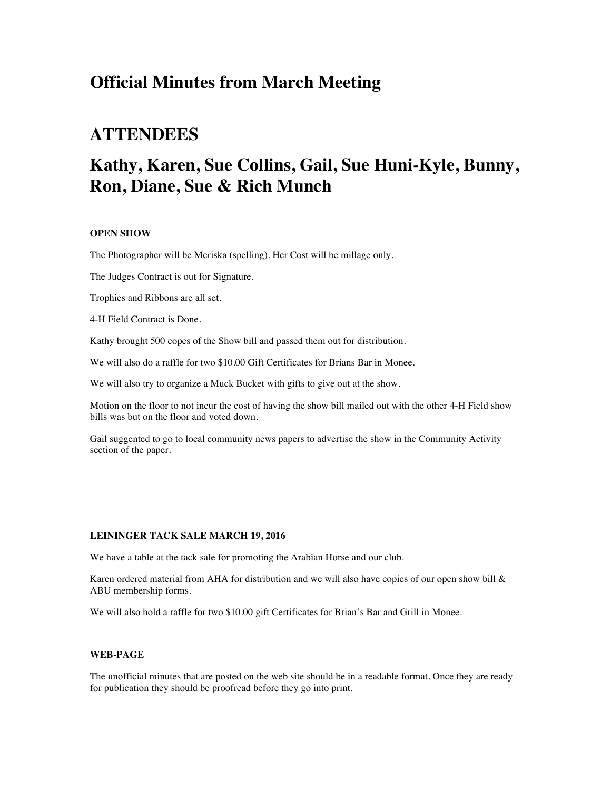## **Official Minutes from March Meeting**

## **ATTENDEES**

# **Kathy, Karen, Sue Collins, Gail, Sue Huni-Kyle, Bunny, Ron, Diane, Sue & Rich Munch**

### **OPEN SHOW**

The Photographer will be Meriska (spelling). Her Cost will be millage only.

The Judges Contract is out for Signature.

Trophies and Ribbons are all set.

4-H Field Contract is Done.

Kathy brought 500 copes of the Show bill and passed them out for distribution.

We will also do a raffle for two \$10.00 Gift Certificates for Brians Bar in Monee.

We will also try to organize a Muck Bucket with gifts to give out at the show.

Motion on the floor to not incur the cost of having the show bill mailed out with the other 4-H Field show bills was but on the floor and voted down.

Gail suggented to go to local community news papers to advertise the show in the Community Activity section of the paper.

#### **LEININGER TACK SALE MARCH 19, 2016**

We have a table at the tack sale for promoting the Arabian Horse and our club.

Karen ordered material from AHA for distribution and we will also have copies of our open show bill  $\&$ ABU membership forms.

We will also hold a raffle for two \$10.00 gift Certificates for Brian's Bar and Grill in Monee.

#### **WEB-PAGE**

The unofficial minutes that are posted on the web site should be in a readable format. Once they are ready for publication they should be proofread before they go into print.